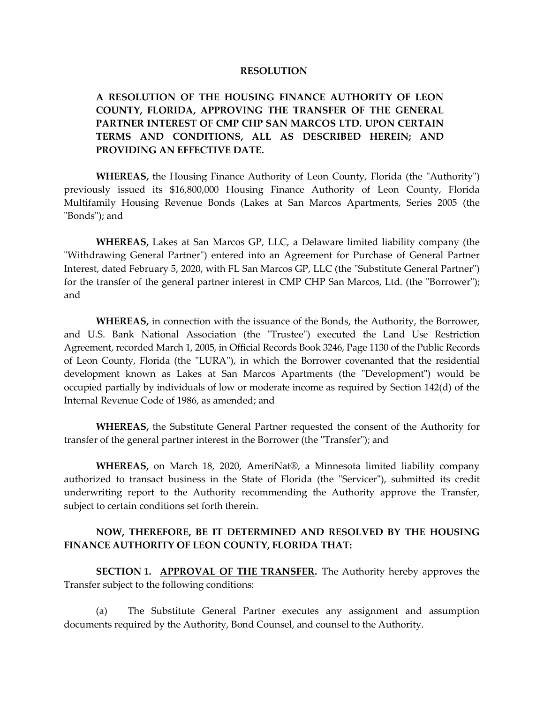## **RESOLUTION**

## **A RESOLUTION OF THE HOUSING FINANCE AUTHORITY OF LEON COUNTY, FLORIDA, APPROVING THE TRANSFER OF THE GENERAL PARTNER INTEREST OF CMP CHP SAN MARCOS LTD. UPON CERTAIN TERMS AND CONDITIONS, ALL AS DESCRIBED HEREIN; AND PROVIDING AN EFFECTIVE DATE.**

**WHEREAS,** the Housing Finance Authority of Leon County, Florida (the "Authority") previously issued its \$16,800,000 Housing Finance Authority of Leon County, Florida Multifamily Housing Revenue Bonds (Lakes at San Marcos Apartments, Series 2005 (the "Bonds"); and

**WHEREAS,** Lakes at San Marcos GP, LLC, a Delaware limited liability company (the "Withdrawing General Partner") entered into an Agreement for Purchase of General Partner Interest, dated February 5, 2020, with FL San Marcos GP, LLC (the "Substitute General Partner") for the transfer of the general partner interest in CMP CHP San Marcos, Ltd. (the "Borrower"); and

**WHEREAS,** in connection with the issuance of the Bonds, the Authority, the Borrower, and U.S. Bank National Association (the "Trustee") executed the Land Use Restriction Agreement, recorded March 1, 2005, in Official Records Book 3246, Page 1130 of the Public Records of Leon County, Florida (the "LURA"), in which the Borrower covenanted that the residential development known as Lakes at San Marcos Apartments (the "Development") would be occupied partially by individuals of low or moderate income as required by Section 142(d) of the Internal Revenue Code of 1986, as amended; and

**WHEREAS,** the Substitute General Partner requested the consent of the Authority for transfer of the general partner interest in the Borrower (the "Transfer"); and

**WHEREAS,** on March 18, 2020, AmeriNat®, a Minnesota limited liability company authorized to transact business in the State of Florida (the "Servicer"), submitted its credit underwriting report to the Authority recommending the Authority approve the Transfer, subject to certain conditions set forth therein.

## **NOW, THEREFORE, BE IT DETERMINED AND RESOLVED BY THE HOUSING FINANCE AUTHORITY OF LEON COUNTY, FLORIDA THAT:**

**SECTION 1. APPROVAL OF THE TRANSFER.** The Authority hereby approves the Transfer subject to the following conditions:

(a) The Substitute General Partner executes any assignment and assumption documents required by the Authority, Bond Counsel, and counsel to the Authority.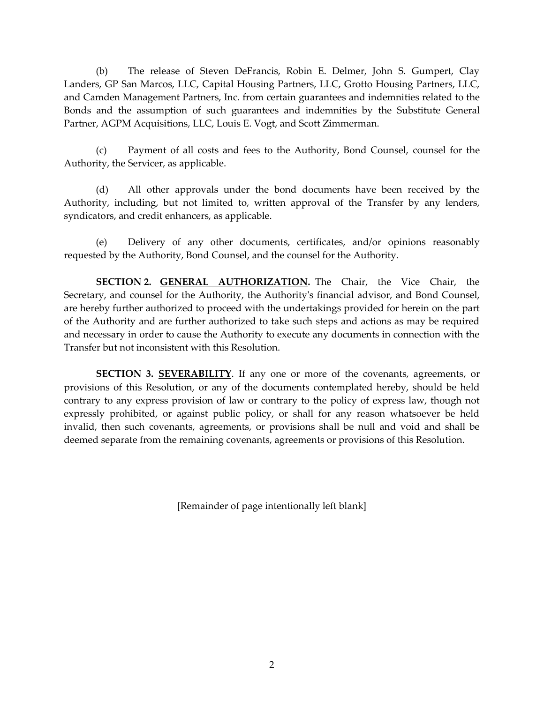(b) The release of Steven DeFrancis, Robin E. Delmer, John S. Gumpert, Clay Landers, GP San Marcos, LLC, Capital Housing Partners, LLC, Grotto Housing Partners, LLC, and Camden Management Partners, Inc. from certain guarantees and indemnities related to the Bonds and the assumption of such guarantees and indemnities by the Substitute General Partner, AGPM Acquisitions, LLC, Louis E. Vogt, and Scott Zimmerman.

(c) Payment of all costs and fees to the Authority, Bond Counsel, counsel for the Authority, the Servicer, as applicable.

(d) All other approvals under the bond documents have been received by the Authority, including, but not limited to, written approval of the Transfer by any lenders, syndicators, and credit enhancers, as applicable.

(e) Delivery of any other documents, certificates, and/or opinions reasonably requested by the Authority, Bond Counsel, and the counsel for the Authority.

**SECTION 2. GENERAL AUTHORIZATION.** The Chair, the Vice Chair, the Secretary, and counsel for the Authority, the Authority's financial advisor, and Bond Counsel, are hereby further authorized to proceed with the undertakings provided for herein on the part of the Authority and are further authorized to take such steps and actions as may be required and necessary in order to cause the Authority to execute any documents in connection with the Transfer but not inconsistent with this Resolution.

**SECTION 3. SEVERABILITY**. If any one or more of the covenants, agreements, or provisions of this Resolution, or any of the documents contemplated hereby, should be held contrary to any express provision of law or contrary to the policy of express law, though not expressly prohibited, or against public policy, or shall for any reason whatsoever be held invalid, then such covenants, agreements, or provisions shall be null and void and shall be deemed separate from the remaining covenants, agreements or provisions of this Resolution.

[Remainder of page intentionally left blank]